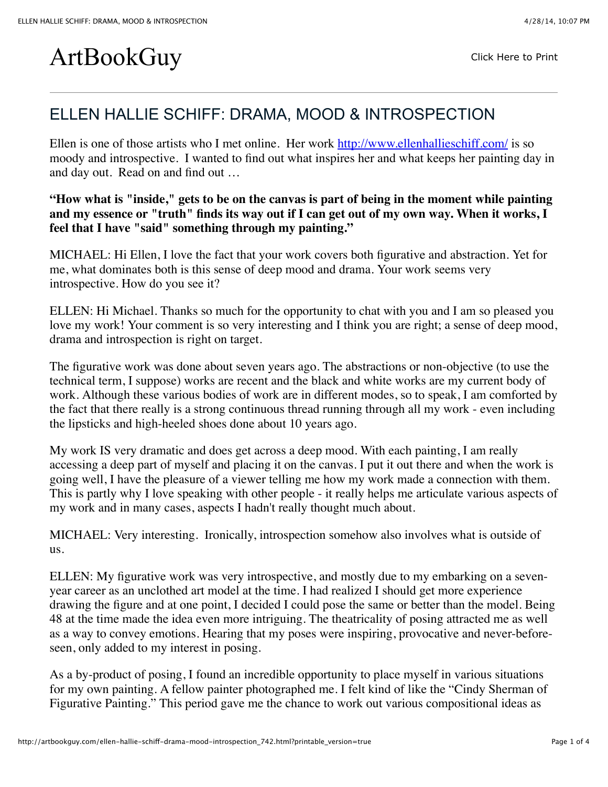## ArtBookGuy [Click Here to Print](javascript:void(0);)

## ELLEN HALLIE SCHIFF: DRAMA, MOOD & INTROSPECTION

Ellen is one of those artists who I met online. Her work<http://www.ellenhallieschiff.com/>is so moody and introspective. I wanted to find out what inspires her and what keeps her painting day in and day out. Read on and find out …

**"How what is "inside," gets to be on the canvas is part of being in the moment while painting and my essence or "truth" finds its way out if I can get out of my own way. When it works, I feel that I have "said" something through my painting."**

MICHAEL: Hi Ellen, I love the fact that your work covers both figurative and abstraction. Yet for me, what dominates both is this sense of deep mood and drama. Your work seems very introspective. How do you see it?

ELLEN: Hi Michael. Thanks so much for the opportunity to chat with you and I am so pleased you love my work! Your comment is so very interesting and I think you are right; a sense of deep mood, drama and introspection is right on target.

The figurative work was done about seven years ago. The abstractions or non-objective (to use the technical term, I suppose) works are recent and the black and white works are my current body of work. Although these various bodies of work are in different modes, so to speak, I am comforted by the fact that there really is a strong continuous thread running through all my work - even including the lipsticks and high-heeled shoes done about 10 years ago.

My work IS very dramatic and does get across a deep mood. With each painting, I am really accessing a deep part of myself and placing it on the canvas. I put it out there and when the work is going well, I have the pleasure of a viewer telling me how my work made a connection with them. This is partly why I love speaking with other people - it really helps me articulate various aspects of my work and in many cases, aspects I hadn't really thought much about.

MICHAEL: Very interesting. Ironically, introspection somehow also involves what is outside of us.

ELLEN: My figurative work was very introspective, and mostly due to my embarking on a sevenyear career as an unclothed art model at the time. I had realized I should get more experience drawing the figure and at one point, I decided I could pose the same or better than the model. Being 48 at the time made the idea even more intriguing. The theatricality of posing attracted me as well as a way to convey emotions. Hearing that my poses were inspiring, provocative and never-beforeseen, only added to my interest in posing.

As a by-product of posing, I found an incredible opportunity to place myself in various situations for my own painting. A fellow painter photographed me. I felt kind of like the "Cindy Sherman of Figurative Painting." This period gave me the chance to work out various compositional ideas as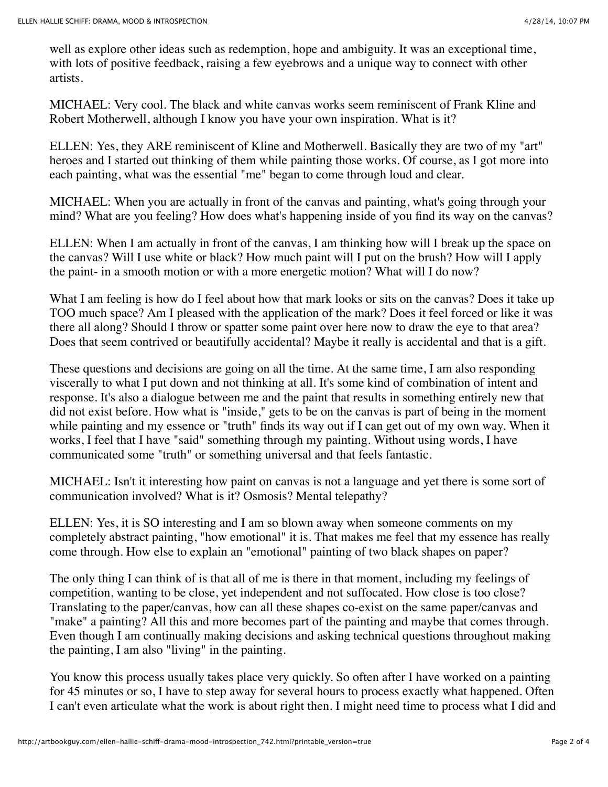well as explore other ideas such as redemption, hope and ambiguity. It was an exceptional time, with lots of positive feedback, raising a few eyebrows and a unique way to connect with other artists.

MICHAEL: Very cool. The black and white canvas works seem reminiscent of Frank Kline and Robert Motherwell, although I know you have your own inspiration. What is it?

ELLEN: Yes, they ARE reminiscent of Kline and Motherwell. Basically they are two of my "art" heroes and I started out thinking of them while painting those works. Of course, as I got more into each painting, what was the essential "me" began to come through loud and clear.

MICHAEL: When you are actually in front of the canvas and painting, what's going through your mind? What are you feeling? How does what's happening inside of you find its way on the canvas?

ELLEN: When I am actually in front of the canvas, I am thinking how will I break up the space on the canvas? Will I use white or black? How much paint will I put on the brush? How will I apply the paint- in a smooth motion or with a more energetic motion? What will I do now?

What I am feeling is how do I feel about how that mark looks or sits on the canvas? Does it take up TOO much space? Am I pleased with the application of the mark? Does it feel forced or like it was there all along? Should I throw or spatter some paint over here now to draw the eye to that area? Does that seem contrived or beautifully accidental? Maybe it really is accidental and that is a gift.

These questions and decisions are going on all the time. At the same time, I am also responding viscerally to what I put down and not thinking at all. It's some kind of combination of intent and response. It's also a dialogue between me and the paint that results in something entirely new that did not exist before. How what is "inside," gets to be on the canvas is part of being in the moment while painting and my essence or "truth" finds its way out if I can get out of my own way. When it works, I feel that I have "said" something through my painting. Without using words, I have communicated some "truth" or something universal and that feels fantastic.

MICHAEL: Isn't it interesting how paint on canvas is not a language and yet there is some sort of communication involved? What is it? Osmosis? Mental telepathy?

ELLEN: Yes, it is SO interesting and I am so blown away when someone comments on my completely abstract painting, "how emotional" it is. That makes me feel that my essence has really come through. How else to explain an "emotional" painting of two black shapes on paper?

The only thing I can think of is that all of me is there in that moment, including my feelings of competition, wanting to be close, yet independent and not suffocated. How close is too close? Translating to the paper/canvas, how can all these shapes co-exist on the same paper/canvas and "make" a painting? All this and more becomes part of the painting and maybe that comes through. Even though I am continually making decisions and asking technical questions throughout making the painting, I am also "living" in the painting.

You know this process usually takes place very quickly. So often after I have worked on a painting for 45 minutes or so, I have to step away for several hours to process exactly what happened. Often I can't even articulate what the work is about right then. I might need time to process what I did and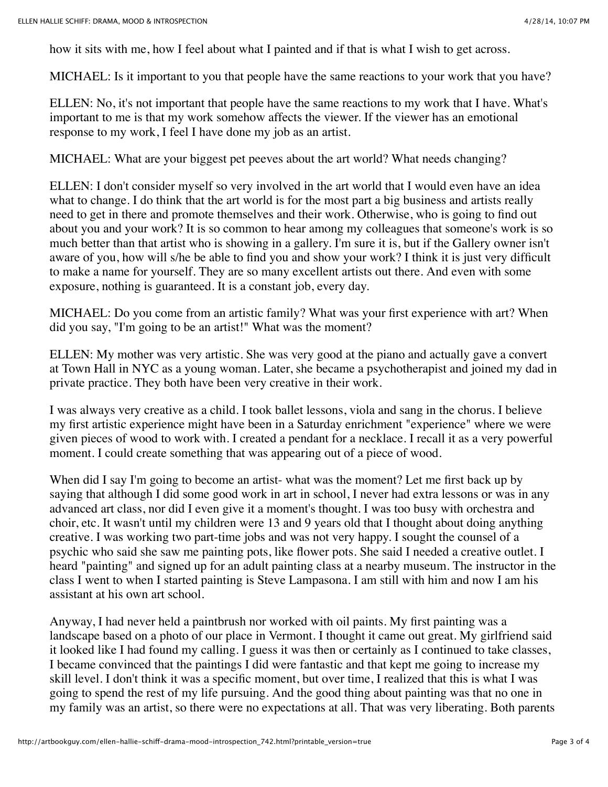how it sits with me, how I feel about what I painted and if that is what I wish to get across.

MICHAEL: Is it important to you that people have the same reactions to your work that you have?

ELLEN: No, it's not important that people have the same reactions to my work that I have. What's important to me is that my work somehow affects the viewer. If the viewer has an emotional response to my work, I feel I have done my job as an artist.

MICHAEL: What are your biggest pet peeves about the art world? What needs changing?

ELLEN: I don't consider myself so very involved in the art world that I would even have an idea what to change. I do think that the art world is for the most part a big business and artists really need to get in there and promote themselves and their work. Otherwise, who is going to find out about you and your work? It is so common to hear among my colleagues that someone's work is so much better than that artist who is showing in a gallery. I'm sure it is, but if the Gallery owner isn't aware of you, how will s/he be able to find you and show your work? I think it is just very difficult to make a name for yourself. They are so many excellent artists out there. And even with some exposure, nothing is guaranteed. It is a constant job, every day.

MICHAEL: Do you come from an artistic family? What was your first experience with art? When did you say, "I'm going to be an artist!" What was the moment?

ELLEN: My mother was very artistic. She was very good at the piano and actually gave a convert at Town Hall in NYC as a young woman. Later, she became a psychotherapist and joined my dad in private practice. They both have been very creative in their work.

I was always very creative as a child. I took ballet lessons, viola and sang in the chorus. I believe my first artistic experience might have been in a Saturday enrichment "experience" where we were given pieces of wood to work with. I created a pendant for a necklace. I recall it as a very powerful moment. I could create something that was appearing out of a piece of wood.

When did I say I'm going to become an artist- what was the moment? Let me first back up by saying that although I did some good work in art in school, I never had extra lessons or was in any advanced art class, nor did I even give it a moment's thought. I was too busy with orchestra and choir, etc. It wasn't until my children were 13 and 9 years old that I thought about doing anything creative. I was working two part-time jobs and was not very happy. I sought the counsel of a psychic who said she saw me painting pots, like flower pots. She said I needed a creative outlet. I heard "painting" and signed up for an adult painting class at a nearby museum. The instructor in the class I went to when I started painting is Steve Lampasona. I am still with him and now I am his assistant at his own art school.

Anyway, I had never held a paintbrush nor worked with oil paints. My first painting was a landscape based on a photo of our place in Vermont. I thought it came out great. My girlfriend said it looked like I had found my calling. I guess it was then or certainly as I continued to take classes, I became convinced that the paintings I did were fantastic and that kept me going to increase my skill level. I don't think it was a specific moment, but over time, I realized that this is what I was going to spend the rest of my life pursuing. And the good thing about painting was that no one in my family was an artist, so there were no expectations at all. That was very liberating. Both parents